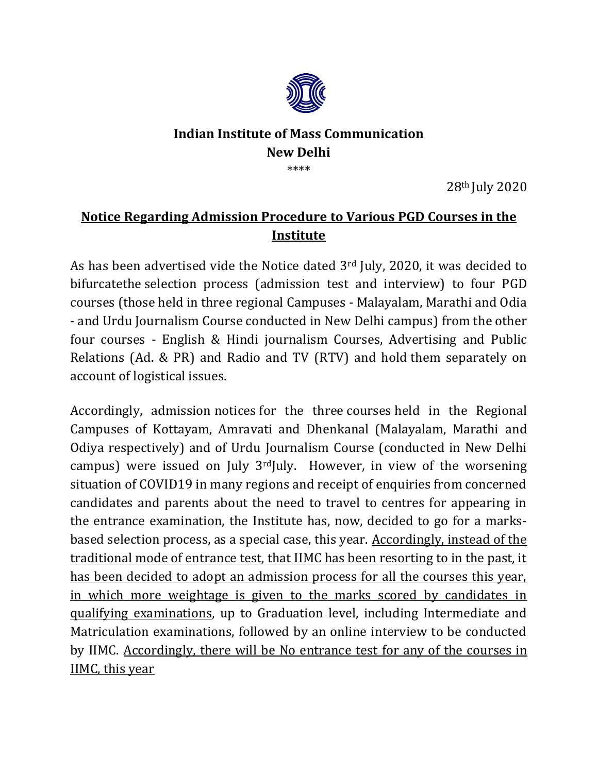

## **Indian Institute of Mass Communication New Delhi** \*\*\*\*

28th July 2020

## **Notice Regarding Admission Procedure to Various PGD Courses in the Institute**

As has been advertised vide the Notice dated 3<sup>rd</sup> July, 2020, it was decided to bifurcatethe selection process (admission test and interview) to four PGD courses (those held in three regional Campuses - Malayalam, Marathi and Odia - and Urdu Journalism Course conducted in New Delhi campus) from the other four courses - English & Hindi journalism Courses, Advertising and Public Relations (Ad. & PR) and Radio and TV (RTV) and hold them separately on account of logistical issues.

Accordingly, admission notices for the three courses held in the Regional Campuses of Kottayam, Amravati and Dhenkanal (Malayalam, Marathi and Odiya respectively) and of Urdu Journalism Course (conducted in New Delhi campus) were issued on July  $3<sup>rd</sup>$ July. However, in view of the worsening situation of COVID19 in many regions and receipt of enquiries from concerned candidates and parents about the need to travel to centres for appearing in the entrance examination, the Institute has, now, decided to go for a marksbased selection process, as a special case, this year. Accordingly, instead of the traditional mode of entrance test, that IIMC has been resorting to in the past, it has been decided to adopt an admission process for all the courses this year, in which more weightage is given to the marks scored by candidates in qualifying examinations, up to Graduation level, including Intermediate and Matriculation examinations, followed by an online interview to be conducted by IIMC. Accordingly, there will be No entrance test for any of the courses in IIMC, this year